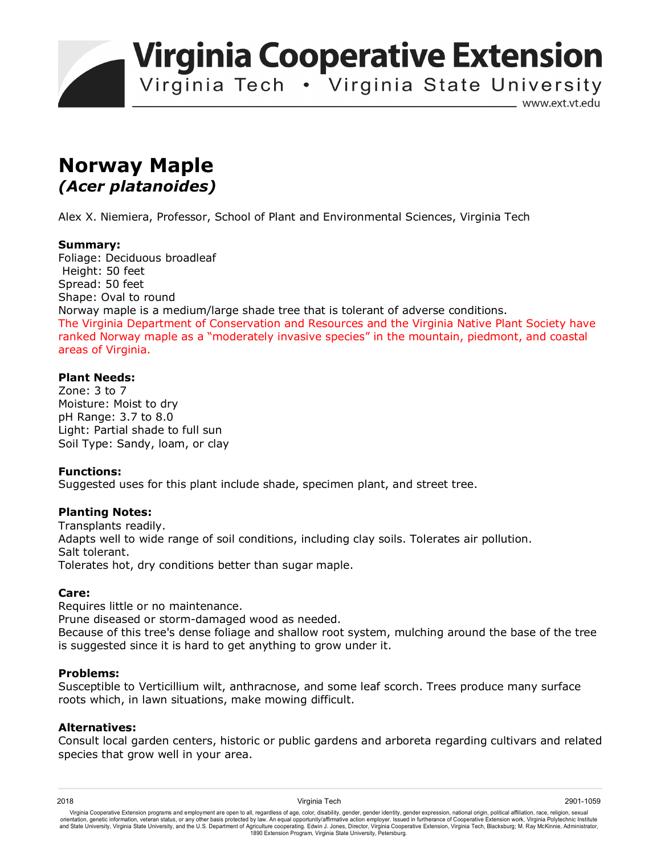**Virginia Cooperative Extension** 

Virginia Tech . Virginia State University

www.ext.vt.edu

# **Norway Maple**  *(Acer platanoides)*

Alex X. Niemiera, Professor, School of Plant and Environmental Sciences, Virginia Tech

## **Summary:**

Foliage: Deciduous broadleaf Height: 50 feet Spread: 50 feet Shape: Oval to round Norway maple is a medium/large shade tree that is tolerant of adverse conditions. The Virginia Department of Conservation and Resources and the Virginia Native Plant Society have ranked Norway maple as a "moderately invasive species" in the mountain, piedmont, and coastal areas of Virginia.

## **Plant Needs:**

Zone: 3 to 7 Moisture: Moist to dry pH Range: 3.7 to 8.0 Light: Partial shade to full sun Soil Type: Sandy, loam, or clay

## **Functions:**

Suggested uses for this plant include shade, specimen plant, and street tree.

## **Planting Notes:**

Transplants readily. Adapts well to wide range of soil conditions, including clay soils. Tolerates air pollution. Salt tolerant. Tolerates hot, dry conditions better than sugar maple.

## **Care:**

Requires little or no maintenance.

Prune diseased or storm-damaged wood as needed.

Because of this tree's dense foliage and shallow root system, mulching around the base of the tree is suggested since it is hard to get anything to grow under it.

## **Problems:**

Susceptible to Verticillium wilt, anthracnose, and some leaf scorch. Trees produce many surface roots which, in lawn situations, make mowing difficult.

## **Alternatives:**

Consult local garden centers, historic or public gardens and arboreta regarding cultivars and related species that grow well in your area.

2018 Virginia Tech 2901-1059